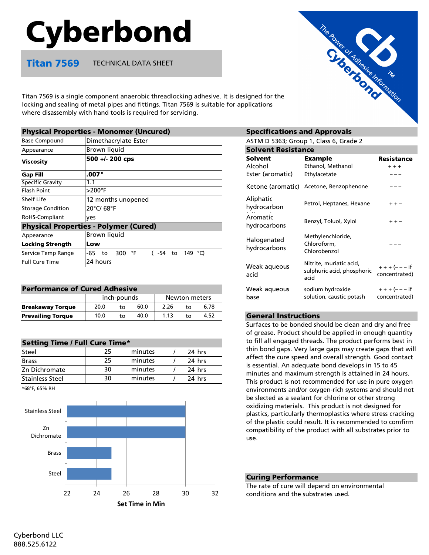# Cyberbond

Titan 7569 TECHNICAL DATA SHEET

Titan 7569 is a single component anaerobic threadlocking adhesive. It is designed for the locking and sealing of metal pipes and fittings. Titan 7569 is suitable for applications where disassembly with hand tools is required for servicing.

|                          | <b>Physical Properties - Monomer (Uncured)</b> | <b>Specifications and Approvals</b>     |                                     |                                         |
|--------------------------|------------------------------------------------|-----------------------------------------|-------------------------------------|-----------------------------------------|
| <b>Base Compound</b>     | Dimethacrylate Ester                           | ASTM D 5363; Group 1, Class 6, Grade 2  |                                     |                                         |
| Appearance               | Brown liquid                                   | <b>Solvent Resistance</b>               |                                     |                                         |
| <b>Viscosity</b>         | 500 +/- 200 cps                                | <b>Solvent</b><br>Alcohol               | <b>Example</b><br>Ethanol, Methanol | <b>Resistance</b><br>$+ + +$            |
| <b>Gap Fill</b>          | .007"                                          | Ester (aromatic)                        | Ethylacetate                        |                                         |
| Specific Gravity         | 1.1                                            |                                         |                                     | Ketone (aromatic) Acetone, Benzophenone |
| <b>Flash Point</b>       | $>200^\circ F$                                 |                                         |                                     |                                         |
| Shelf Life               | 12 months unopened                             | Aliphatic                               | Petrol, Heptanes, Hexane            | $+ + -$                                 |
| <b>Storage Condition</b> | 20°C/68°F                                      | hydrocarbon                             |                                     |                                         |
| RoHS-Compliant           | ves                                            | Aromatic                                |                                     |                                         |
|                          | <b>Physical Properties - Polymer (Cured)</b>   | hydrocarbons                            | Benzyl, Toluol, Xylol               | $+ + -$                                 |
| Appearance               | Brown liquid                                   | Methylenchloride,<br>Halogenated        |                                     |                                         |
| <b>Locking Strength</b>  | Low                                            |                                         | Chloroform.                         |                                         |
| Service Temp Range       | -65<br>300 °F<br>149 °C)<br>-54<br>to<br>to    | hydrocarbons                            | Chlorobenzol                        |                                         |
| <b>Full Cure Time</b>    | 24 hours                                       | Nitrite, muriatic acid,<br>Weak aqueous |                                     | $+ + + (- - - if$                       |
|                          |                                                |                                         |                                     |                                         |

| <b>Performance of Cured Adhesive</b> |             |              |      |               |    |      |
|--------------------------------------|-------------|--------------|------|---------------|----|------|
|                                      | inch-pounds |              |      | Newton meters |    |      |
| <b>Breakaway Torque</b>              | 20.0        | to           | 60.0 | 2.26          | t٥ | 6.78 |
| <b>Prevailing Torque</b>             | 10.0        | $t_{\Omega}$ | 40.0 | 1.13          | t٥ | 4.52 |

| <b>Setting Time / Full Cure Time*</b> |    |         |  |        |  |
|---------------------------------------|----|---------|--|--------|--|
| Steel                                 | 25 | minutes |  | 24 hrs |  |
| <b>Brass</b>                          | 25 | minutes |  | 24 hrs |  |
| Zn Dichromate                         | 30 | minutes |  | 24 hrs |  |
| <b>Stainless Steel</b>                | 30 | minutes |  | 24 hrs |  |

\*68°F, 65% RH



# **Specifications and Approvals**

| <b>Solvent Resistance</b>              |                                                               |                              |  |  |  |
|----------------------------------------|---------------------------------------------------------------|------------------------------|--|--|--|
| Solvent<br>Alcohol<br>Ester (aromatic) | <b>Example</b><br>Ethanol, Methanol<br>Ethylacetate           | Resistance<br>$+ + +$        |  |  |  |
| Ketone (aromatic)                      | Acetone, Benzophenone                                         |                              |  |  |  |
| Aliphatic<br>hydrocarbon               | Petrol, Heptanes, Hexane                                      | $++-$                        |  |  |  |
| Aromatic<br>hydrocarbons               | Benzyl, Toluol, Xylol                                         | $++ -$                       |  |  |  |
| Halogenated<br>hydrocarbons            | Methylenchloride,<br>Chloroform,<br>Chlorobenzol              |                              |  |  |  |
| Weak aqueous<br>acid                   | Nitrite, muriatic acid,<br>sulphuric acid, phosphoric<br>acid | $+++(---if$<br>concentrated) |  |  |  |
| Weak agueous<br>base                   | sodium hydroxide<br>solution, caustic potash                  | $+++(---if$<br>concentrated) |  |  |  |

### **General Instructions**

Surfaces to be bonded should be clean and dry and free of grease. Product should be applied in enough quantity to fill all engaged threads. The product performs best in thin bond gaps. Very large gaps may create gaps that will affect the cure speed and overall strength. Good contact is essential. An adequate bond develops in 15 to 45 minutes and maximum strength is attained in 24 hours. This product is not recommended for use in pure oxygen environments and/or oxygen-rich systems and should not be slected as a sealant for chlorine or other strong oxidizing materials. This product is not designed for plastics, particularly thermoplastics where stress cracking of the plastic could result. It is recommended to comfirm compatibility of the product with all substrates prior to use.

## Curing Performance

The rate of cure will depend on environmental